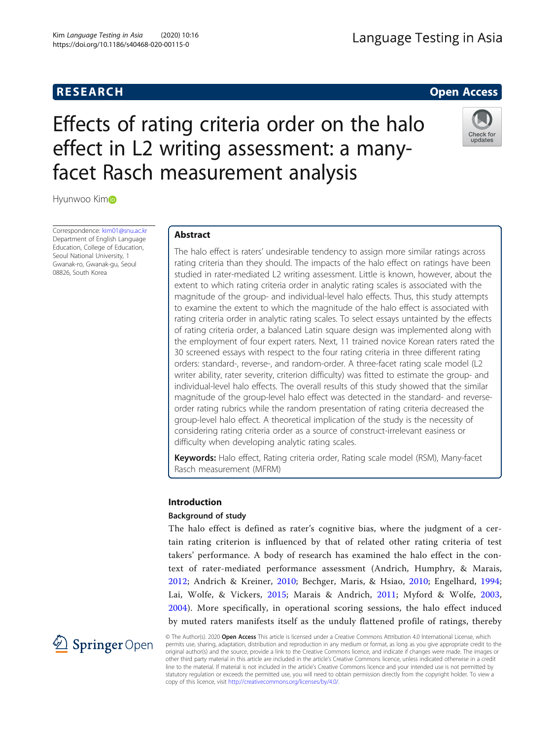# **RESEARCH RESEARCH CONSUMING ACCESS**

# Effects of rating criteria order on the halo effect in L2 writing assessment: a manyfacet Rasch measurement analysis



# Hyunwoo Ki[m](http://orcid.org/0000-0003-4968-0177)o

Correspondence: [kim01@snu.ac.kr](mailto:kim01@snu.ac.kr) Department of English Language Education, College of Education, Seoul National University, 1 Gwanak-ro, Gwanak-gu, Seoul 08826, South Korea

# Abstract

The halo effect is raters' undesirable tendency to assign more similar ratings across rating criteria than they should. The impacts of the halo effect on ratings have been studied in rater-mediated L2 writing assessment. Little is known, however, about the extent to which rating criteria order in analytic rating scales is associated with the magnitude of the group- and individual-level halo effects. Thus, this study attempts to examine the extent to which the magnitude of the halo effect is associated with rating criteria order in analytic rating scales. To select essays untainted by the effects of rating criteria order, a balanced Latin square design was implemented along with the employment of four expert raters. Next, 11 trained novice Korean raters rated the 30 screened essays with respect to the four rating criteria in three different rating orders: standard-, reverse-, and random-order. A three-facet rating scale model (L2 writer ability, rater severity, criterion difficulty) was fitted to estimate the group- and individual-level halo effects. The overall results of this study showed that the similar magnitude of the group-level halo effect was detected in the standard- and reverseorder rating rubrics while the random presentation of rating criteria decreased the group-level halo effect. A theoretical implication of the study is the necessity of considering rating criteria order as a source of construct-irrelevant easiness or difficulty when developing analytic rating scales.

Keywords: Halo effect, Rating criteria order, Rating scale model (RSM), Many-facet Rasch measurement (MFRM)

#### Introduction

### Background of study

The halo effect is defined as rater's cognitive bias, where the judgment of a certain rating criterion is influenced by that of related other rating criteria of test takers' performance. A body of research has examined the halo effect in the context of rater-mediated performance assessment (Andrich, Humphry, & Marais, [2012](#page-21-0); Andrich & Kreiner, [2010;](#page-21-0) Bechger, Maris, & Hsiao, [2010;](#page-21-0) Engelhard, [1994](#page-21-0); Lai, Wolfe, & Vickers, [2015;](#page-22-0) Marais & Andrich, [2011](#page-22-0); Myford & Wolfe, [2003](#page-22-0), [2004](#page-22-0)). More specifically, in operational scoring sessions, the halo effect induced by muted raters manifests itself as the unduly flattened profile of ratings, thereby



© The Author(s). 2020 Open Access This article is licensed under a Creative Commons Attribution 4.0 International License, which permits use, sharing, adaptation, distribution and reproduction in any medium or format, as long as you give appropriate credit to the original author(s) and the source, provide a link to the Creative Commons licence, and indicate if changes were made. The images or other third party material in this article are included in the article's Creative Commons licence, unless indicated otherwise in a credit line to the material. If material is not included in the article's Creative Commons licence and your intended use is not permitted by statutory regulation or exceeds the permitted use, you will need to obtain permission directly from the copyright holder. To view a copy of this licence, visit <http://creativecommons.org/licenses/by/4.0/>.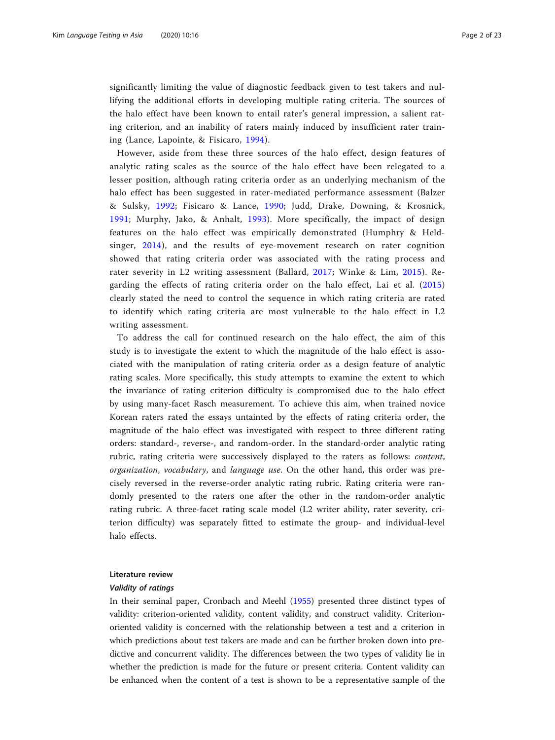significantly limiting the value of diagnostic feedback given to test takers and nullifying the additional efforts in developing multiple rating criteria. The sources of the halo effect have been known to entail rater's general impression, a salient rating criterion, and an inability of raters mainly induced by insufficient rater training (Lance, Lapointe, & Fisicaro, [1994](#page-22-0)).

However, aside from these three sources of the halo effect, design features of analytic rating scales as the source of the halo effect have been relegated to a lesser position, although rating criteria order as an underlying mechanism of the halo effect has been suggested in rater-mediated performance assessment (Balzer & Sulsky, [1992;](#page-21-0) Fisicaro & Lance, [1990;](#page-21-0) Judd, Drake, Downing, & Krosnick, [1991](#page-22-0); Murphy, Jako, & Anhalt, [1993](#page-22-0)). More specifically, the impact of design features on the halo effect was empirically demonstrated (Humphry & Heldsinger, [2014](#page-21-0)), and the results of eye-movement research on rater cognition showed that rating criteria order was associated with the rating process and rater severity in L2 writing assessment (Ballard, [2017;](#page-21-0) Winke & Lim, [2015\)](#page-22-0). Regarding the effects of rating criteria order on the halo effect, Lai et al. ([2015](#page-22-0)) clearly stated the need to control the sequence in which rating criteria are rated to identify which rating criteria are most vulnerable to the halo effect in L2 writing assessment.

To address the call for continued research on the halo effect, the aim of this study is to investigate the extent to which the magnitude of the halo effect is associated with the manipulation of rating criteria order as a design feature of analytic rating scales. More specifically, this study attempts to examine the extent to which the invariance of rating criterion difficulty is compromised due to the halo effect by using many-facet Rasch measurement. To achieve this aim, when trained novice Korean raters rated the essays untainted by the effects of rating criteria order, the magnitude of the halo effect was investigated with respect to three different rating orders: standard-, reverse-, and random-order. In the standard-order analytic rating rubric, rating criteria were successively displayed to the raters as follows: content, organization, vocabulary, and language use. On the other hand, this order was precisely reversed in the reverse-order analytic rating rubric. Rating criteria were randomly presented to the raters one after the other in the random-order analytic rating rubric. A three-facet rating scale model (L2 writer ability, rater severity, criterion difficulty) was separately fitted to estimate the group- and individual-level halo effects.

#### Literature review

#### Validity of ratings

In their seminal paper, Cronbach and Meehl [\(1955](#page-21-0)) presented three distinct types of validity: criterion-oriented validity, content validity, and construct validity. Criterionoriented validity is concerned with the relationship between a test and a criterion in which predictions about test takers are made and can be further broken down into predictive and concurrent validity. The differences between the two types of validity lie in whether the prediction is made for the future or present criteria. Content validity can be enhanced when the content of a test is shown to be a representative sample of the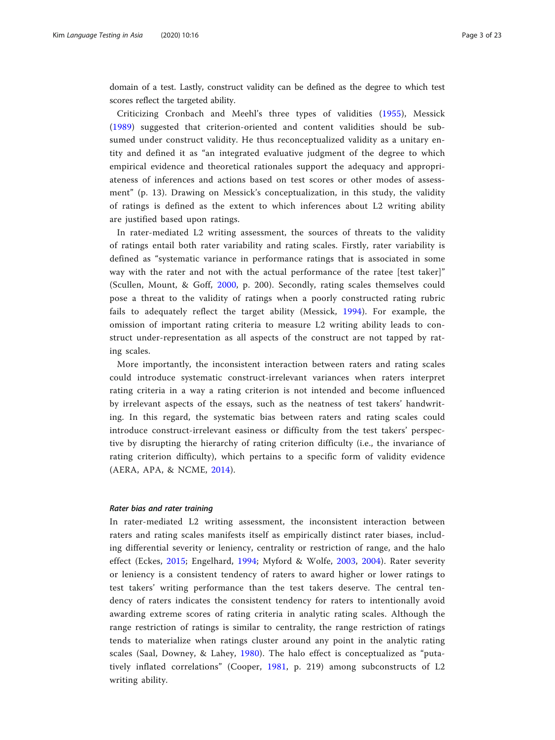domain of a test. Lastly, construct validity can be defined as the degree to which test scores reflect the targeted ability.

Criticizing Cronbach and Meehl's three types of validities [\(1955\)](#page-21-0), Messick ([1989](#page-22-0)) suggested that criterion-oriented and content validities should be subsumed under construct validity. He thus reconceptualized validity as a unitary entity and defined it as "an integrated evaluative judgment of the degree to which empirical evidence and theoretical rationales support the adequacy and appropriateness of inferences and actions based on test scores or other modes of assessment" (p. 13). Drawing on Messick's conceptualization, in this study, the validity of ratings is defined as the extent to which inferences about L2 writing ability are justified based upon ratings.

In rater-mediated L2 writing assessment, the sources of threats to the validity of ratings entail both rater variability and rating scales. Firstly, rater variability is defined as "systematic variance in performance ratings that is associated in some way with the rater and not with the actual performance of the ratee [test taker]" (Scullen, Mount, & Goff, [2000,](#page-22-0) p. 200). Secondly, rating scales themselves could pose a threat to the validity of ratings when a poorly constructed rating rubric fails to adequately reflect the target ability (Messick, [1994](#page-22-0)). For example, the omission of important rating criteria to measure L2 writing ability leads to construct under-representation as all aspects of the construct are not tapped by rating scales.

More importantly, the inconsistent interaction between raters and rating scales could introduce systematic construct-irrelevant variances when raters interpret rating criteria in a way a rating criterion is not intended and become influenced by irrelevant aspects of the essays, such as the neatness of test takers' handwriting. In this regard, the systematic bias between raters and rating scales could introduce construct-irrelevant easiness or difficulty from the test takers' perspective by disrupting the hierarchy of rating criterion difficulty (i.e., the invariance of rating criterion difficulty), which pertains to a specific form of validity evidence (AERA, APA, & NCME, [2014](#page-21-0)).

#### Rater bias and rater training

In rater-mediated L2 writing assessment, the inconsistent interaction between raters and rating scales manifests itself as empirically distinct rater biases, including differential severity or leniency, centrality or restriction of range, and the halo effect (Eckes, [2015](#page-21-0); Engelhard, [1994;](#page-21-0) Myford & Wolfe, [2003,](#page-22-0) [2004\)](#page-22-0). Rater severity or leniency is a consistent tendency of raters to award higher or lower ratings to test takers' writing performance than the test takers deserve. The central tendency of raters indicates the consistent tendency for raters to intentionally avoid awarding extreme scores of rating criteria in analytic rating scales. Although the range restriction of ratings is similar to centrality, the range restriction of ratings tends to materialize when ratings cluster around any point in the analytic rating scales (Saal, Downey, & Lahey, [1980](#page-22-0)). The halo effect is conceptualized as "putatively inflated correlations" (Cooper, [1981](#page-21-0), p. 219) among subconstructs of L2 writing ability.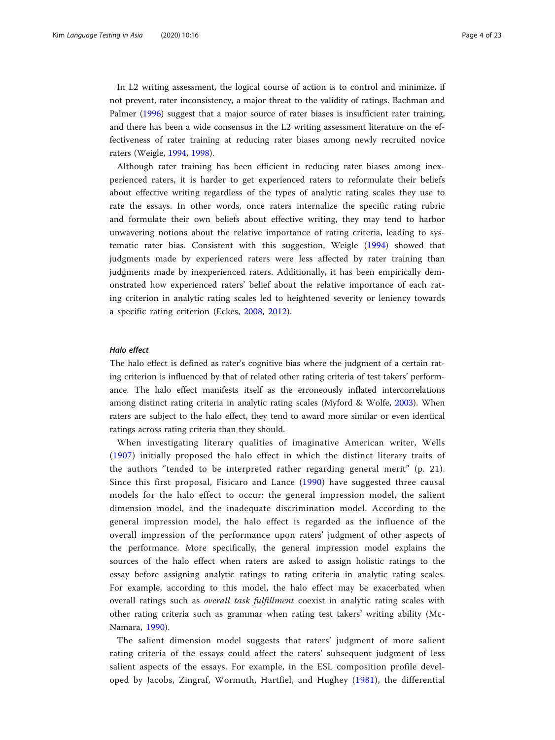In L2 writing assessment, the logical course of action is to control and minimize, if not prevent, rater inconsistency, a major threat to the validity of ratings. Bachman and Palmer [\(1996\)](#page-21-0) suggest that a major source of rater biases is insufficient rater training, and there has been a wide consensus in the L2 writing assessment literature on the effectiveness of rater training at reducing rater biases among newly recruited novice raters (Weigle, [1994](#page-22-0), [1998\)](#page-22-0).

Although rater training has been efficient in reducing rater biases among inexperienced raters, it is harder to get experienced raters to reformulate their beliefs about effective writing regardless of the types of analytic rating scales they use to rate the essays. In other words, once raters internalize the specific rating rubric and formulate their own beliefs about effective writing, they may tend to harbor unwavering notions about the relative importance of rating criteria, leading to systematic rater bias. Consistent with this suggestion, Weigle ([1994](#page-22-0)) showed that judgments made by experienced raters were less affected by rater training than judgments made by inexperienced raters. Additionally, it has been empirically demonstrated how experienced raters' belief about the relative importance of each rating criterion in analytic rating scales led to heightened severity or leniency towards a specific rating criterion (Eckes, [2008,](#page-21-0) [2012\)](#page-21-0).

#### Halo effect

The halo effect is defined as rater's cognitive bias where the judgment of a certain rating criterion is influenced by that of related other rating criteria of test takers' performance. The halo effect manifests itself as the erroneously inflated intercorrelations among distinct rating criteria in analytic rating scales (Myford & Wolfe, [2003\)](#page-22-0). When raters are subject to the halo effect, they tend to award more similar or even identical ratings across rating criteria than they should.

When investigating literary qualities of imaginative American writer, Wells ([1907\)](#page-22-0) initially proposed the halo effect in which the distinct literary traits of the authors "tended to be interpreted rather regarding general merit" (p. 21). Since this first proposal, Fisicaro and Lance ([1990\)](#page-21-0) have suggested three causal models for the halo effect to occur: the general impression model, the salient dimension model, and the inadequate discrimination model. According to the general impression model, the halo effect is regarded as the influence of the overall impression of the performance upon raters' judgment of other aspects of the performance. More specifically, the general impression model explains the sources of the halo effect when raters are asked to assign holistic ratings to the essay before assigning analytic ratings to rating criteria in analytic rating scales. For example, according to this model, the halo effect may be exacerbated when overall ratings such as *overall task fulfillment* coexist in analytic rating scales with other rating criteria such as grammar when rating test takers' writing ability (Mc-Namara, [1990\)](#page-22-0).

The salient dimension model suggests that raters' judgment of more salient rating criteria of the essays could affect the raters' subsequent judgment of less salient aspects of the essays. For example, in the ESL composition profile developed by Jacobs, Zingraf, Wormuth, Hartfiel, and Hughey ([1981](#page-22-0)), the differential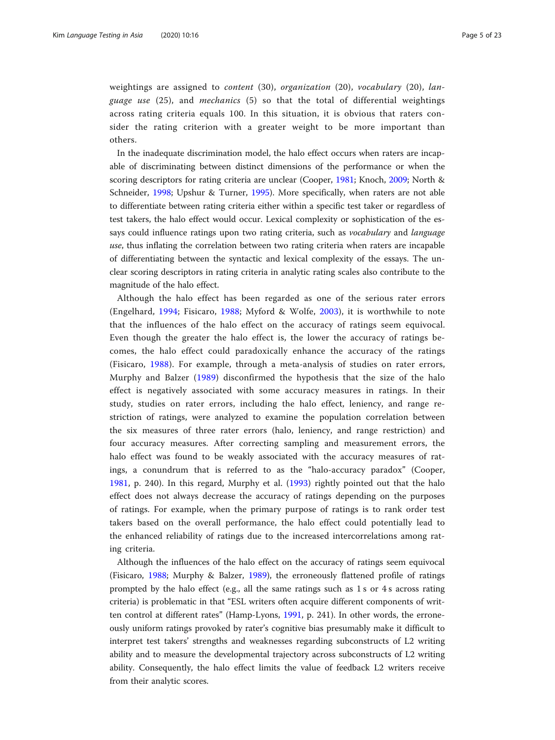weightings are assigned to *content* (30), *organization* (20), *vocabulary* (20), *language use*  $(25)$ , and *mechanics*  $(5)$  so that the total of differential weightings across rating criteria equals 100. In this situation, it is obvious that raters consider the rating criterion with a greater weight to be more important than others.

In the inadequate discrimination model, the halo effect occurs when raters are incapable of discriminating between distinct dimensions of the performance or when the scoring descriptors for rating criteria are unclear (Cooper, [1981](#page-21-0); Knoch, [2009](#page-22-0); North & Schneider, [1998;](#page-22-0) Upshur & Turner, [1995](#page-22-0)). More specifically, when raters are not able to differentiate between rating criteria either within a specific test taker or regardless of test takers, the halo effect would occur. Lexical complexity or sophistication of the essays could influence ratings upon two rating criteria, such as vocabulary and language use, thus inflating the correlation between two rating criteria when raters are incapable of differentiating between the syntactic and lexical complexity of the essays. The unclear scoring descriptors in rating criteria in analytic rating scales also contribute to the magnitude of the halo effect.

Although the halo effect has been regarded as one of the serious rater errors (Engelhard, [1994;](#page-21-0) Fisicaro, [1988](#page-21-0); Myford & Wolfe, [2003](#page-22-0)), it is worthwhile to note that the influences of the halo effect on the accuracy of ratings seem equivocal. Even though the greater the halo effect is, the lower the accuracy of ratings becomes, the halo effect could paradoxically enhance the accuracy of the ratings (Fisicaro, [1988](#page-21-0)). For example, through a meta-analysis of studies on rater errors, Murphy and Balzer [\(1989\)](#page-22-0) disconfirmed the hypothesis that the size of the halo effect is negatively associated with some accuracy measures in ratings. In their study, studies on rater errors, including the halo effect, leniency, and range restriction of ratings, were analyzed to examine the population correlation between the six measures of three rater errors (halo, leniency, and range restriction) and four accuracy measures. After correcting sampling and measurement errors, the halo effect was found to be weakly associated with the accuracy measures of ratings, a conundrum that is referred to as the "halo-accuracy paradox" (Cooper, [1981,](#page-21-0) p. 240). In this regard, Murphy et al. ([1993\)](#page-22-0) rightly pointed out that the halo effect does not always decrease the accuracy of ratings depending on the purposes of ratings. For example, when the primary purpose of ratings is to rank order test takers based on the overall performance, the halo effect could potentially lead to the enhanced reliability of ratings due to the increased intercorrelations among rating criteria.

Although the influences of the halo effect on the accuracy of ratings seem equivocal (Fisicaro, [1988;](#page-21-0) Murphy & Balzer, [1989](#page-22-0)), the erroneously flattened profile of ratings prompted by the halo effect (e.g., all the same ratings such as 1 s or 4 s across rating criteria) is problematic in that "ESL writers often acquire different components of written control at different rates" (Hamp-Lyons, [1991,](#page-21-0) p. 241). In other words, the erroneously uniform ratings provoked by rater's cognitive bias presumably make it difficult to interpret test takers' strengths and weaknesses regarding subconstructs of L2 writing ability and to measure the developmental trajectory across subconstructs of L2 writing ability. Consequently, the halo effect limits the value of feedback L2 writers receive from their analytic scores.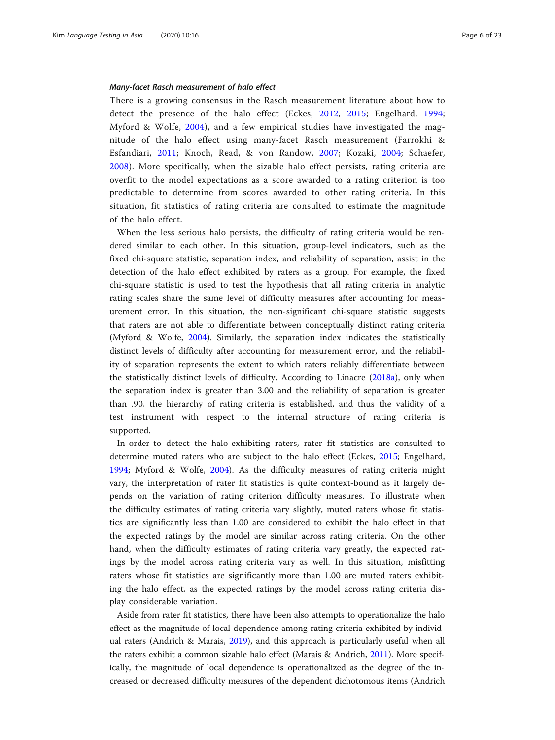#### Many-facet Rasch measurement of halo effect

There is a growing consensus in the Rasch measurement literature about how to detect the presence of the halo effect (Eckes, [2012,](#page-21-0) [2015](#page-21-0); Engelhard, [1994](#page-21-0); Myford & Wolfe, [2004\)](#page-22-0), and a few empirical studies have investigated the magnitude of the halo effect using many-facet Rasch measurement (Farrokhi & Esfandiari, [2011;](#page-21-0) Knoch, Read, & von Randow, [2007](#page-22-0); Kozaki, [2004](#page-22-0); Schaefer, [2008](#page-22-0)). More specifically, when the sizable halo effect persists, rating criteria are overfit to the model expectations as a score awarded to a rating criterion is too predictable to determine from scores awarded to other rating criteria. In this situation, fit statistics of rating criteria are consulted to estimate the magnitude of the halo effect.

When the less serious halo persists, the difficulty of rating criteria would be rendered similar to each other. In this situation, group-level indicators, such as the fixed chi-square statistic, separation index, and reliability of separation, assist in the detection of the halo effect exhibited by raters as a group. For example, the fixed chi-square statistic is used to test the hypothesis that all rating criteria in analytic rating scales share the same level of difficulty measures after accounting for measurement error. In this situation, the non-significant chi-square statistic suggests that raters are not able to differentiate between conceptually distinct rating criteria (Myford & Wolfe, [2004](#page-22-0)). Similarly, the separation index indicates the statistically distinct levels of difficulty after accounting for measurement error, and the reliability of separation represents the extent to which raters reliably differentiate between the statistically distinct levels of difficulty. According to Linacre ([2018a](#page-22-0)), only when the separation index is greater than 3.00 and the reliability of separation is greater than .90, the hierarchy of rating criteria is established, and thus the validity of a test instrument with respect to the internal structure of rating criteria is supported.

In order to detect the halo-exhibiting raters, rater fit statistics are consulted to determine muted raters who are subject to the halo effect (Eckes, [2015](#page-21-0); Engelhard, [1994;](#page-21-0) Myford & Wolfe, [2004\)](#page-22-0). As the difficulty measures of rating criteria might vary, the interpretation of rater fit statistics is quite context-bound as it largely depends on the variation of rating criterion difficulty measures. To illustrate when the difficulty estimates of rating criteria vary slightly, muted raters whose fit statistics are significantly less than 1.00 are considered to exhibit the halo effect in that the expected ratings by the model are similar across rating criteria. On the other hand, when the difficulty estimates of rating criteria vary greatly, the expected ratings by the model across rating criteria vary as well. In this situation, misfitting raters whose fit statistics are significantly more than 1.00 are muted raters exhibiting the halo effect, as the expected ratings by the model across rating criteria display considerable variation.

Aside from rater fit statistics, there have been also attempts to operationalize the halo effect as the magnitude of local dependence among rating criteria exhibited by individual raters (Andrich & Marais, [2019\)](#page-21-0), and this approach is particularly useful when all the raters exhibit a common sizable halo effect (Marais & Andrich, [2011\)](#page-22-0). More specifically, the magnitude of local dependence is operationalized as the degree of the increased or decreased difficulty measures of the dependent dichotomous items (Andrich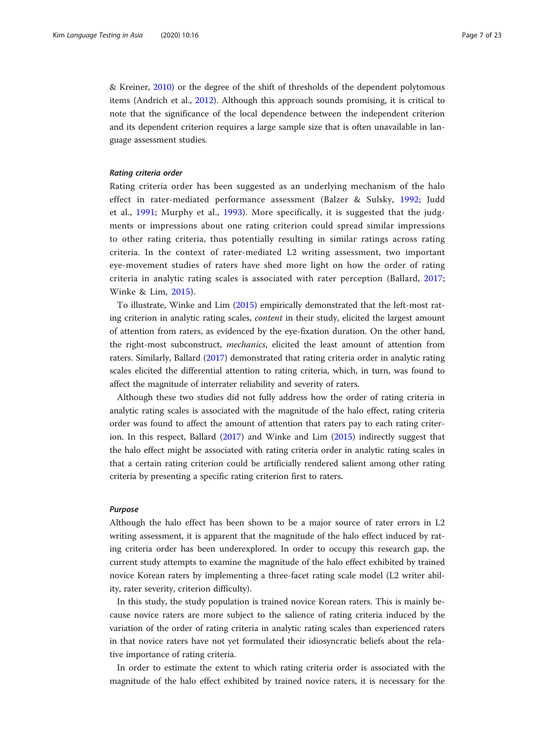& Kreiner, [2010](#page-21-0)) or the degree of the shift of thresholds of the dependent polytomous items (Andrich et al., [2012](#page-21-0)). Although this approach sounds promising, it is critical to note that the significance of the local dependence between the independent criterion and its dependent criterion requires a large sample size that is often unavailable in language assessment studies.

#### Rating criteria order

Rating criteria order has been suggested as an underlying mechanism of the halo effect in rater-mediated performance assessment (Balzer & Sulsky, [1992;](#page-21-0) Judd et al., [1991](#page-22-0); Murphy et al., [1993](#page-22-0)). More specifically, it is suggested that the judgments or impressions about one rating criterion could spread similar impressions to other rating criteria, thus potentially resulting in similar ratings across rating criteria. In the context of rater-mediated L2 writing assessment, two important eye-movement studies of raters have shed more light on how the order of rating criteria in analytic rating scales is associated with rater perception (Ballard, [2017](#page-21-0); Winke & Lim, [2015](#page-22-0)).

To illustrate, Winke and Lim [\(2015\)](#page-22-0) empirically demonstrated that the left-most rating criterion in analytic rating scales, content in their study, elicited the largest amount of attention from raters, as evidenced by the eye-fixation duration. On the other hand, the right-most subconstruct, mechanics, elicited the least amount of attention from raters. Similarly, Ballard [\(2017](#page-21-0)) demonstrated that rating criteria order in analytic rating scales elicited the differential attention to rating criteria, which, in turn, was found to affect the magnitude of interrater reliability and severity of raters.

Although these two studies did not fully address how the order of rating criteria in analytic rating scales is associated with the magnitude of the halo effect, rating criteria order was found to affect the amount of attention that raters pay to each rating criterion. In this respect, Ballard [\(2017\)](#page-21-0) and Winke and Lim ([2015](#page-22-0)) indirectly suggest that the halo effect might be associated with rating criteria order in analytic rating scales in that a certain rating criterion could be artificially rendered salient among other rating criteria by presenting a specific rating criterion first to raters.

#### Purpose

Although the halo effect has been shown to be a major source of rater errors in L2 writing assessment, it is apparent that the magnitude of the halo effect induced by rating criteria order has been underexplored. In order to occupy this research gap, the current study attempts to examine the magnitude of the halo effect exhibited by trained novice Korean raters by implementing a three-facet rating scale model (L2 writer ability, rater severity, criterion difficulty).

In this study, the study population is trained novice Korean raters. This is mainly because novice raters are more subject to the salience of rating criteria induced by the variation of the order of rating criteria in analytic rating scales than experienced raters in that novice raters have not yet formulated their idiosyncratic beliefs about the relative importance of rating criteria.

In order to estimate the extent to which rating criteria order is associated with the magnitude of the halo effect exhibited by trained novice raters, it is necessary for the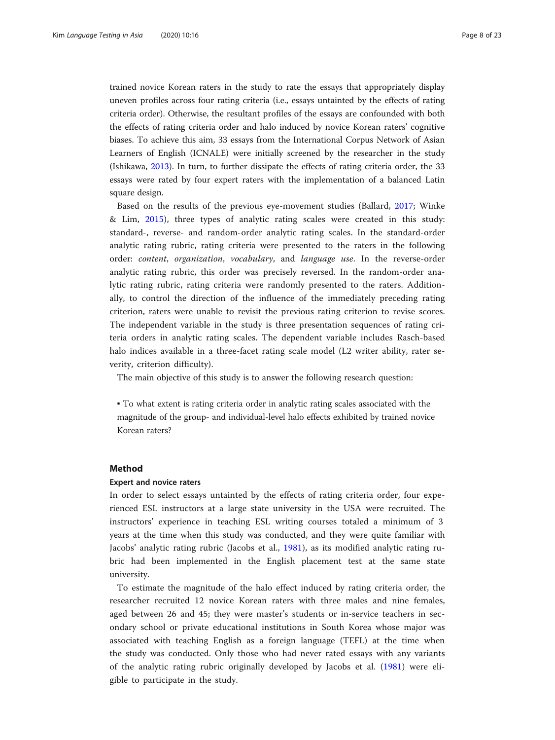trained novice Korean raters in the study to rate the essays that appropriately display uneven profiles across four rating criteria (i.e., essays untainted by the effects of rating criteria order). Otherwise, the resultant profiles of the essays are confounded with both the effects of rating criteria order and halo induced by novice Korean raters' cognitive biases. To achieve this aim, 33 essays from the International Corpus Network of Asian Learners of English (ICNALE) were initially screened by the researcher in the study (Ishikawa, [2013](#page-21-0)). In turn, to further dissipate the effects of rating criteria order, the 33 essays were rated by four expert raters with the implementation of a balanced Latin square design.

Based on the results of the previous eye-movement studies (Ballard, [2017;](#page-21-0) Winke & Lim, [2015\)](#page-22-0), three types of analytic rating scales were created in this study: standard-, reverse- and random-order analytic rating scales. In the standard-order analytic rating rubric, rating criteria were presented to the raters in the following order: content, organization, vocabulary, and language use. In the reverse-order analytic rating rubric, this order was precisely reversed. In the random-order analytic rating rubric, rating criteria were randomly presented to the raters. Additionally, to control the direction of the influence of the immediately preceding rating criterion, raters were unable to revisit the previous rating criterion to revise scores. The independent variable in the study is three presentation sequences of rating criteria orders in analytic rating scales. The dependent variable includes Rasch-based halo indices available in a three-facet rating scale model (L2 writer ability, rater severity, criterion difficulty).

The main objective of this study is to answer the following research question:

▪ To what extent is rating criteria order in analytic rating scales associated with the magnitude of the group- and individual-level halo effects exhibited by trained novice Korean raters?

#### Method

#### Expert and novice raters

In order to select essays untainted by the effects of rating criteria order, four experienced ESL instructors at a large state university in the USA were recruited. The instructors' experience in teaching ESL writing courses totaled a minimum of 3 years at the time when this study was conducted, and they were quite familiar with Jacobs' analytic rating rubric (Jacobs et al., [1981](#page-22-0)), as its modified analytic rating rubric had been implemented in the English placement test at the same state university.

To estimate the magnitude of the halo effect induced by rating criteria order, the researcher recruited 12 novice Korean raters with three males and nine females, aged between 26 and 45; they were master's students or in-service teachers in secondary school or private educational institutions in South Korea whose major was associated with teaching English as a foreign language (TEFL) at the time when the study was conducted. Only those who had never rated essays with any variants of the analytic rating rubric originally developed by Jacobs et al. ([1981\)](#page-22-0) were eligible to participate in the study.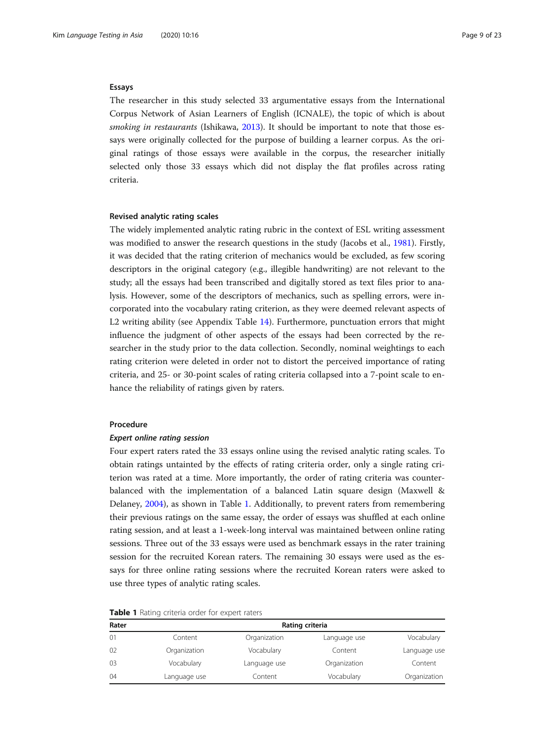#### Essays

The researcher in this study selected 33 argumentative essays from the International Corpus Network of Asian Learners of English (ICNALE), the topic of which is about smoking in restaurants (Ishikawa, [2013](#page-21-0)). It should be important to note that those essays were originally collected for the purpose of building a learner corpus. As the original ratings of those essays were available in the corpus, the researcher initially selected only those 33 essays which did not display the flat profiles across rating criteria.

#### Revised analytic rating scales

The widely implemented analytic rating rubric in the context of ESL writing assessment was modified to answer the research questions in the study (Jacobs et al., [1981\)](#page-22-0). Firstly, it was decided that the rating criterion of mechanics would be excluded, as few scoring descriptors in the original category (e.g., illegible handwriting) are not relevant to the study; all the essays had been transcribed and digitally stored as text files prior to analysis. However, some of the descriptors of mechanics, such as spelling errors, were incorporated into the vocabulary rating criterion, as they were deemed relevant aspects of L2 writing ability (see Appendix Table [14\)](#page-20-0). Furthermore, punctuation errors that might influence the judgment of other aspects of the essays had been corrected by the researcher in the study prior to the data collection. Secondly, nominal weightings to each rating criterion were deleted in order not to distort the perceived importance of rating criteria, and 25- or 30-point scales of rating criteria collapsed into a 7-point scale to enhance the reliability of ratings given by raters.

#### Procedure

#### Expert online rating session

Four expert raters rated the 33 essays online using the revised analytic rating scales. To obtain ratings untainted by the effects of rating criteria order, only a single rating criterion was rated at a time. More importantly, the order of rating criteria was counterbalanced with the implementation of a balanced Latin square design (Maxwell & Delaney, [2004](#page-22-0)), as shown in Table 1. Additionally, to prevent raters from remembering their previous ratings on the same essay, the order of essays was shuffled at each online rating session, and at least a 1-week-long interval was maintained between online rating sessions. Three out of the 33 essays were used as benchmark essays in the rater training session for the recruited Korean raters. The remaining 30 essays were used as the essays for three online rating sessions where the recruited Korean raters were asked to use three types of analytic rating scales.

| Table 1 Rating criteria order for expert raters |  |  |  |  |  |  |  |  |
|-------------------------------------------------|--|--|--|--|--|--|--|--|
|-------------------------------------------------|--|--|--|--|--|--|--|--|

| Rater |              |              | Rating criteria |              |
|-------|--------------|--------------|-----------------|--------------|
| 01    | Content      | Organization | Language use    | Vocabulary   |
| -02   | Organization | Vocabulary   | Content         | Language use |
| -03   | Vocabulary   | Language use | Organization    | Content      |
| 04    | Language use | Content      | Vocabulary      | Organization |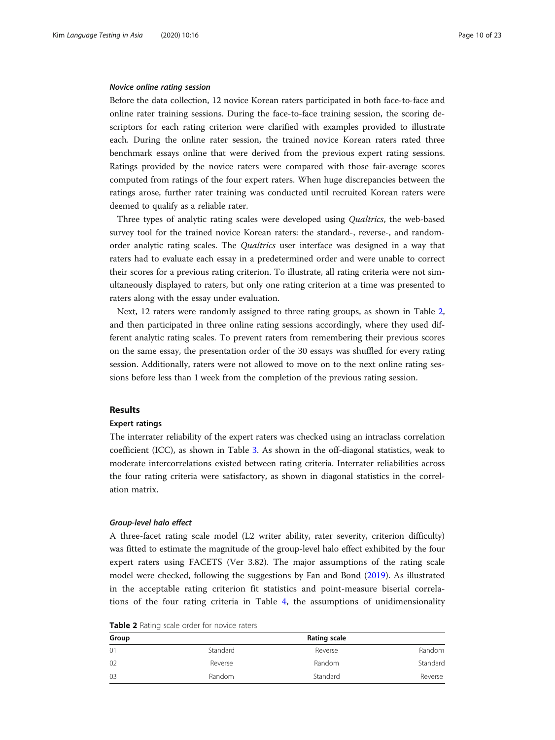#### Novice online rating session

Before the data collection, 12 novice Korean raters participated in both face-to-face and online rater training sessions. During the face-to-face training session, the scoring descriptors for each rating criterion were clarified with examples provided to illustrate each. During the online rater session, the trained novice Korean raters rated three benchmark essays online that were derived from the previous expert rating sessions. Ratings provided by the novice raters were compared with those fair-average scores computed from ratings of the four expert raters. When huge discrepancies between the ratings arose, further rater training was conducted until recruited Korean raters were deemed to qualify as a reliable rater.

Three types of analytic rating scales were developed using Qualtrics, the web-based survey tool for the trained novice Korean raters: the standard-, reverse-, and randomorder analytic rating scales. The Qualtrics user interface was designed in a way that raters had to evaluate each essay in a predetermined order and were unable to correct their scores for a previous rating criterion. To illustrate, all rating criteria were not simultaneously displayed to raters, but only one rating criterion at a time was presented to raters along with the essay under evaluation.

Next, 12 raters were randomly assigned to three rating groups, as shown in Table 2, and then participated in three online rating sessions accordingly, where they used different analytic rating scales. To prevent raters from remembering their previous scores on the same essay, the presentation order of the 30 essays was shuffled for every rating session. Additionally, raters were not allowed to move on to the next online rating sessions before less than 1 week from the completion of the previous rating session.

### Results

#### Expert ratings

The interrater reliability of the expert raters was checked using an intraclass correlation coefficient (ICC), as shown in Table [3.](#page-10-0) As shown in the off-diagonal statistics, weak to moderate intercorrelations existed between rating criteria. Interrater reliabilities across the four rating criteria were satisfactory, as shown in diagonal statistics in the correlation matrix.

#### Group-level halo effect

A three-facet rating scale model (L2 writer ability, rater severity, criterion difficulty) was fitted to estimate the magnitude of the group-level halo effect exhibited by the four expert raters using FACETS (Ver 3.82). The major assumptions of the rating scale model were checked, following the suggestions by Fan and Bond [\(2019\)](#page-21-0). As illustrated in the acceptable rating criterion fit statistics and point-measure biserial correlations of the four rating criteria in Table [4,](#page-10-0) the assumptions of unidimensionality

| Group | Rating scale |          |          |  |  |
|-------|--------------|----------|----------|--|--|
| 01    | Standard     | Reverse  | Random   |  |  |
| 02    | Reverse      | Random   | Standard |  |  |
| 03    | Random       | Standard | Reverse  |  |  |

Table 2 Rating scale order for novice raters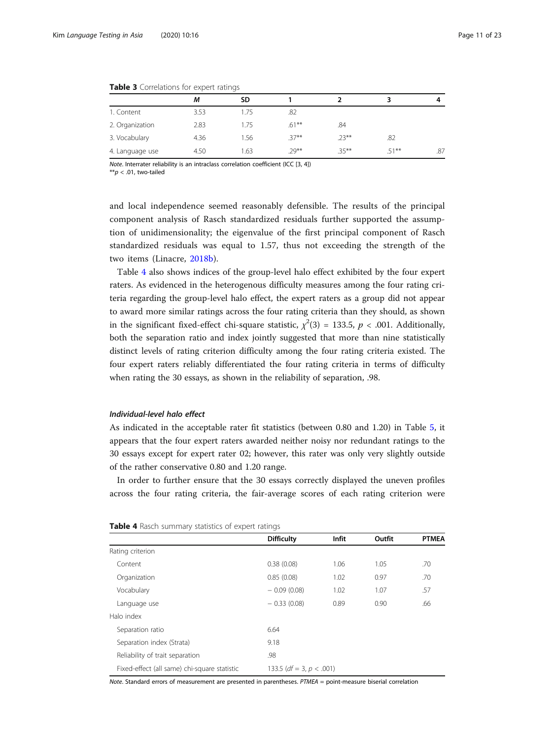|                 | М    | SD   |          |          |          |     |
|-----------------|------|------|----------|----------|----------|-----|
| 1. Content      | 3.53 | 1.75 | .82      |          |          |     |
| 2. Organization | 2.83 | 1.75 | $.61***$ | .84      |          |     |
| 3. Vocabulary   | 4.36 | 1.56 | $.37***$ | $.23***$ | .82      |     |
| 4. Language use | 4.50 | 1.63 | $.29***$ | $35***$  | $.51***$ | .87 |

#### <span id="page-10-0"></span>Table 3 Correlations for expert ratings

Note. Interrater reliability is an intraclass correlation coefficient (ICC [3, 4])

 $**p < .01$ , two-tailed

and local independence seemed reasonably defensible. The results of the principal component analysis of Rasch standardized residuals further supported the assumption of unidimensionality; the eigenvalue of the first principal component of Rasch standardized residuals was equal to 1.57, thus not exceeding the strength of the two items (Linacre, [2018b](#page-22-0)).

Table 4 also shows indices of the group-level halo effect exhibited by the four expert raters. As evidenced in the heterogenous difficulty measures among the four rating criteria regarding the group-level halo effect, the expert raters as a group did not appear to award more similar ratings across the four rating criteria than they should, as shown in the significant fixed-effect chi-square statistic,  $\chi^2(3) = 133.5$ ,  $p < .001$ . Additionally, both the separation ratio and index jointly suggested that more than nine statistically distinct levels of rating criterion difficulty among the four rating criteria existed. The four expert raters reliably differentiated the four rating criteria in terms of difficulty when rating the 30 essays, as shown in the reliability of separation, .98.

#### Individual-level halo effect

As indicated in the acceptable rater fit statistics (between 0.80 and 1.20) in Table [5](#page-11-0), it appears that the four expert raters awarded neither noisy nor redundant ratings to the 30 essays except for expert rater 02; however, this rater was only very slightly outside of the rather conservative 0.80 and 1.20 range.

In order to further ensure that the 30 essays correctly displayed the uneven profiles across the four rating criteria, the fair-average scores of each rating criterion were

|                                              | <b>Difficulty</b>           | Infit | Outfit | <b>PTMEA</b> |
|----------------------------------------------|-----------------------------|-------|--------|--------------|
| Rating criterion                             |                             |       |        |              |
| Content                                      | 0.38(0.08)                  | 1.06  | 1.05   | .70          |
| Organization                                 | 0.85(0.08)                  | 1.02  | 0.97   | .70          |
| Vocabulary                                   | $-0.09(0.08)$               | 1.02  | 1.07   | .57          |
| Language use                                 | $-0.33(0.08)$               | 0.89  | 0.90   | .66          |
| Halo index                                   |                             |       |        |              |
| Separation ratio                             | 6.64                        |       |        |              |
| Separation index (Strata)                    | 9.18                        |       |        |              |
| Reliability of trait separation              | .98                         |       |        |              |
| Fixed-effect (all same) chi-square statistic | 133.5 (df = 3, $p < .001$ ) |       |        |              |
|                                              |                             |       |        |              |

#### Table 4 Rasch summary statistics of expert ratings

Note. Standard errors of measurement are presented in parentheses. PTMEA = point-measure biserial correlation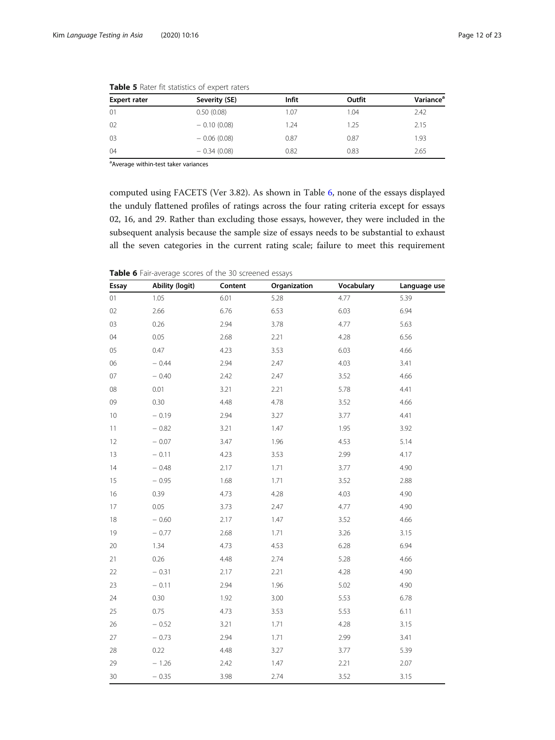| Expert rater | Severity (SE) | Infit | Outfit | Variance <sup>a</sup> |
|--------------|---------------|-------|--------|-----------------------|
| 01           | 0.50(0.08)    | 1.07  | 1.04   | 2.42                  |
| 02           | $-0.10(0.08)$ | 1.24  | 1.25   | 2.15                  |
| 03           | $-0.06(0.08)$ | 0.87  | 0.87   | 1.93                  |
| 04           | $-0.34(0.08)$ | 0.82  | 0.83   | 2.65                  |

<span id="page-11-0"></span>

|  |  | Table 5 Rater fit statistics of expert raters |  |  |  |
|--|--|-----------------------------------------------|--|--|--|
|--|--|-----------------------------------------------|--|--|--|

<sup>a</sup>Average within-test taker variances

computed using FACETS (Ver 3.82). As shown in Table 6, none of the essays displayed the unduly flattened profiles of ratings across the four rating criteria except for essays 02, 16, and 29. Rather than excluding those essays, however, they were included in the subsequent analysis because the sample size of essays needs to be substantial to exhaust all the seven categories in the current rating scale; failure to meet this requirement

Table 6 Fair-average scores of the 30 screened essays

| Essay  | Ability (logit) | Content | Organization | Vocabulary | Language use |
|--------|-----------------|---------|--------------|------------|--------------|
| 01     | 1.05            | 6.01    | 5.28         | 4.77       | 5.39         |
| 02     | $2.66$          | 6.76    | 6.53         | 6.03       | 6.94         |
| 03     | 0.26            | 2.94    | 3.78         | 4.77       | 5.63         |
| 04     | 0.05            | 2.68    | 2.21         | 4.28       | 6.56         |
| 05     | 0.47            | 4.23    | 3.53         | 6.03       | 4.66         |
| 06     | $-0.44$         | 2.94    | 2.47         | 4.03       | 3.41         |
| 07     | $-0.40$         | 2.42    | 2.47         | 3.52       | 4.66         |
| $08\,$ | 0.01            | 3.21    | 2.21         | 5.78       | 4.41         |
| 09     | 0.30            | 4.48    | 4.78         | 3.52       | 4.66         |
| $10$   | $-0.19$         | 2.94    | 3.27         | 3.77       | 4.41         |
| 11     | $-0.82$         | 3.21    | 1.47         | 1.95       | 3.92         |
| 12     | $-0.07$         | 3.47    | 1.96         | 4.53       | 5.14         |
| 13     | $-0.11$         | 4.23    | 3.53         | 2.99       | 4.17         |
| 14     | $-0.48$         | 2.17    | 1.71         | 3.77       | 4.90         |
| 15     | $-0.95$         | 1.68    | 1.71         | 3.52       | 2.88         |
| 16     | 0.39            | 4.73    | 4.28         | 4.03       | 4.90         |
| $17\,$ | 0.05            | 3.73    | 2.47         | 4.77       | 4.90         |
| 18     | $-0.60$         | 2.17    | 1.47         | 3.52       | 4.66         |
| 19     | $-0.77$         | 2.68    | 1.71         | 3.26       | 3.15         |
| 20     | 1.34            | 4.73    | 4.53         | 6.28       | 6.94         |
| 21     | 0.26            | 4.48    | 2.74         | 5.28       | 4.66         |
| 22     | $-0.31$         | 2.17    | 2.21         | 4.28       | 4.90         |
| 23     | $-0.11$         | 2.94    | 1.96         | 5.02       | 4.90         |
| 24     | 0.30            | 1.92    | 3.00         | 5.53       | 6.78         |
| 25     | 0.75            | 4.73    | 3.53         | 5.53       | 6.11         |
| 26     | $-0.52$         | 3.21    | 1.71         | 4.28       | 3.15         |
| 27     | $-0.73$         | 2.94    | 1.71         | 2.99       | 3.41         |
| 28     | 0.22            | 4.48    | 3.27         | 3.77       | 5.39         |
| 29     | $-1.26$         | 2.42    | 1.47         | 2.21       | 2.07         |
| 30     | $-0.35$         | 3.98    | 2.74         | 3.52       | 3.15         |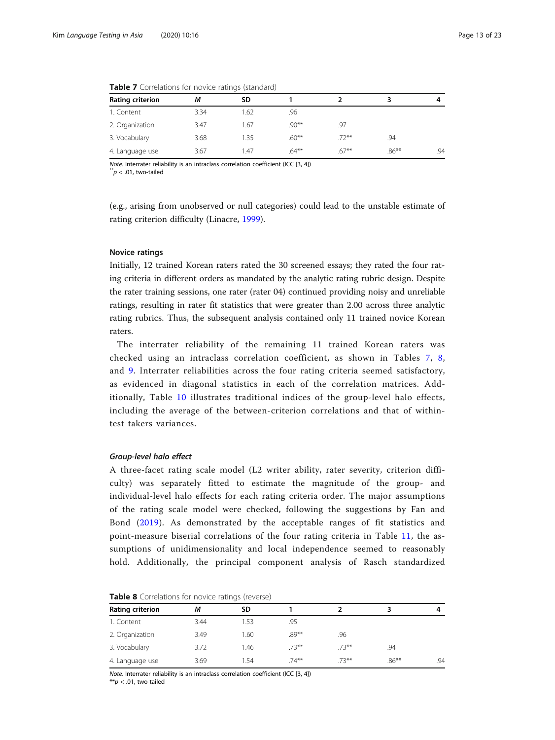| Rating criterion | М    | SD   |          |          |          | 4   |
|------------------|------|------|----------|----------|----------|-----|
| 1. Content       | 3.34 | 1.62 | .96      |          |          |     |
| 2. Organization  | 3.47 | 1.67 | $.90***$ | .97      |          |     |
| 3. Vocabulary    | 3.68 | 1.35 | $.60**$  | $72***$  | .94      |     |
| 4. Language use  | 3.67 | 1.47 | $.64***$ | $.67***$ | $.86***$ | .94 |

Note. Interrater reliability is an intraclass correlation coefficient (ICC [3, 4]) \*\*

 $p$  < .01, two-tailed

(e.g., arising from unobserved or null categories) could lead to the unstable estimate of rating criterion difficulty (Linacre, [1999](#page-22-0)).

#### Novice ratings

Initially, 12 trained Korean raters rated the 30 screened essays; they rated the four rating criteria in different orders as mandated by the analytic rating rubric design. Despite the rater training sessions, one rater (rater 04) continued providing noisy and unreliable ratings, resulting in rater fit statistics that were greater than 2.00 across three analytic rating rubrics. Thus, the subsequent analysis contained only 11 trained novice Korean raters.

The interrater reliability of the remaining 11 trained Korean raters was checked using an intraclass correlation coefficient, as shown in Tables 7, 8, and [9](#page-13-0). Interrater reliabilities across the four rating criteria seemed satisfactory, as evidenced in diagonal statistics in each of the correlation matrices. Additionally, Table [10](#page-13-0) illustrates traditional indices of the group-level halo effects, including the average of the between-criterion correlations and that of withintest takers variances.

#### Group-level halo effect

A three-facet rating scale model (L2 writer ability, rater severity, criterion difficulty) was separately fitted to estimate the magnitude of the group- and individual-level halo effects for each rating criteria order. The major assumptions of the rating scale model were checked, following the suggestions by Fan and Bond ([2019\)](#page-21-0). As demonstrated by the acceptable ranges of fit statistics and point-measure biserial correlations of the four rating criteria in Table [11](#page-14-0), the assumptions of unidimensionality and local independence seemed to reasonably hold. Additionally, the principal component analysis of Rasch standardized

| Table 8 Correlations for novice ratings (reverse) |  |
|---------------------------------------------------|--|
|---------------------------------------------------|--|

| Rating criterion | М    | <b>SD</b> |          |          |          |     |
|------------------|------|-----------|----------|----------|----------|-----|
| 1. Content       | 3.44 | 1.53      | .95      |          |          |     |
| 2. Organization  | 3.49 | 1.60      | .89**    | .96      |          |     |
| 3. Vocabulary    | 3.72 | 1.46      | $.73***$ | $.73***$ | .94      |     |
| 4. Language use  | 3.69 | 1.54      | $74***$  | $73***$  | $.86***$ | .94 |

Note. Interrater reliability is an intraclass correlation coefficient (ICC [3, 4])

 $**p < .01$ , two-tailed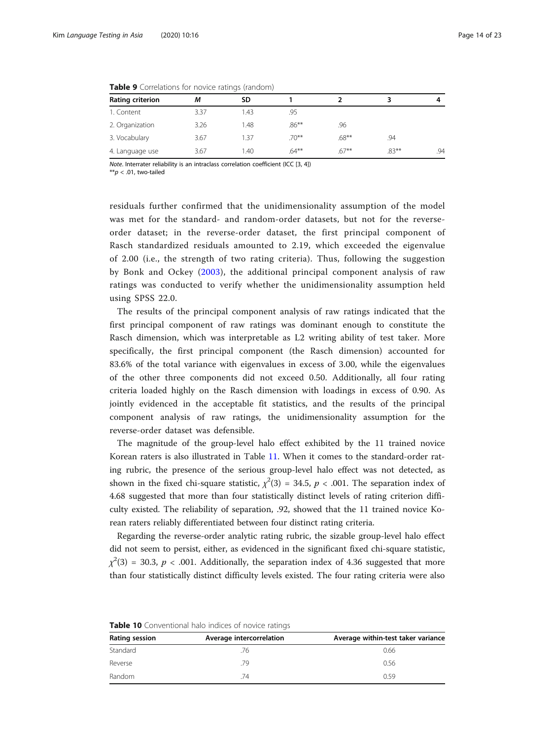| Rating criterion | м    | <b>SD</b> |          |          |          |     |
|------------------|------|-----------|----------|----------|----------|-----|
| 1. Content       | 3.37 | 1.43      | .95      |          |          |     |
| 2. Organization  | 3.26 | 1.48      | $.86***$ | .96      |          |     |
| 3. Vocabulary    | 3.67 | 1.37      | $.70***$ | $.68***$ | .94      |     |
| 4. Language use  | 3.67 | 1.40      | $.64***$ | $.67***$ | $.83***$ | .94 |

<span id="page-13-0"></span>**Table 9** Correlations for novice ratings (random)

Note. Interrater reliability is an intraclass correlation coefficient (ICC [3, 4])

 $**n < 01$ , two-tailed

residuals further confirmed that the unidimensionality assumption of the model was met for the standard- and random-order datasets, but not for the reverseorder dataset; in the reverse-order dataset, the first principal component of Rasch standardized residuals amounted to 2.19, which exceeded the eigenvalue of 2.00 (i.e., the strength of two rating criteria). Thus, following the suggestion by Bonk and Ockey ([2003](#page-21-0)), the additional principal component analysis of raw ratings was conducted to verify whether the unidimensionality assumption held using SPSS 22.0.

The results of the principal component analysis of raw ratings indicated that the first principal component of raw ratings was dominant enough to constitute the Rasch dimension, which was interpretable as L2 writing ability of test taker. More specifically, the first principal component (the Rasch dimension) accounted for 83.6% of the total variance with eigenvalues in excess of 3.00, while the eigenvalues of the other three components did not exceed 0.50. Additionally, all four rating criteria loaded highly on the Rasch dimension with loadings in excess of 0.90. As jointly evidenced in the acceptable fit statistics, and the results of the principal component analysis of raw ratings, the unidimensionality assumption for the reverse-order dataset was defensible.

The magnitude of the group-level halo effect exhibited by the 11 trained novice Korean raters is also illustrated in Table [11.](#page-14-0) When it comes to the standard-order rating rubric, the presence of the serious group-level halo effect was not detected, as shown in the fixed chi-square statistic,  $\chi^2(3) = 34.5$ ,  $p < .001$ . The separation index of 4.68 suggested that more than four statistically distinct levels of rating criterion difficulty existed. The reliability of separation, .92, showed that the 11 trained novice Korean raters reliably differentiated between four distinct rating criteria.

Regarding the reverse-order analytic rating rubric, the sizable group-level halo effect did not seem to persist, either, as evidenced in the significant fixed chi-square statistic,  $\chi^2(3) = 30.3$ ,  $p < .001$ . Additionally, the separation index of 4.36 suggested that more than form attributed in the form attributed to the form attributed to the form attributed to the form attributed to the form attrib than four statistically distinct difficulty levels existed. The four rating criteria were also

|  | Table 10 Conventional halo indices of novice ratings |  |  |  |
|--|------------------------------------------------------|--|--|--|
|  |                                                      |  |  |  |

| Rating session | Average intercorrelation | Average within-test taker variance |
|----------------|--------------------------|------------------------------------|
| Standard       | 76                       | 0.66                               |
| Reverse        | 79                       | 0.56                               |
| Random         | 74                       | 0.59                               |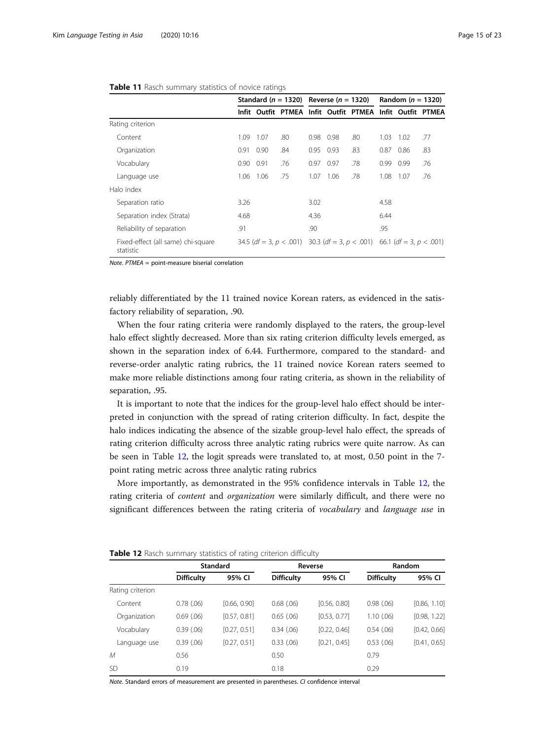|                                                 |      |      |                                                                                  | Standard ( $n = 1320$ ) Reverse ( $n = 1320$ ) |      |     | Random ( $n = 1320$ ) |      |     |
|-------------------------------------------------|------|------|----------------------------------------------------------------------------------|------------------------------------------------|------|-----|-----------------------|------|-----|
|                                                 |      |      | Infit Outfit PTMEA Infit Outfit PTMEA Infit Outfit PTMEA                         |                                                |      |     |                       |      |     |
| Rating criterion                                |      |      |                                                                                  |                                                |      |     |                       |      |     |
| Content                                         | 1.09 | 1.07 | .80                                                                              | 0.98                                           | 0.98 | .80 | 1.03                  | 1.02 | .77 |
| Organization                                    | 0.91 | 0.90 | .84                                                                              | 0.95                                           | 0.93 | .83 | 0.87                  | 0.86 | .83 |
| Vocabulary                                      | 0.90 | 0.91 | .76                                                                              | 0.97                                           | 0.97 | .78 | 0.99                  | 0.99 | .76 |
| Language use                                    | 1.06 | 1.06 | .75                                                                              | 1.07                                           | 1.06 | .78 | 1.08                  | 1.07 | .76 |
| Halo index                                      |      |      |                                                                                  |                                                |      |     |                       |      |     |
| Separation ratio                                | 3.26 |      |                                                                                  | 3.02                                           |      |     | 4.58                  |      |     |
| Separation index (Strata)                       | 4.68 |      |                                                                                  | 4.36                                           |      |     | 6.44                  |      |     |
| Reliability of separation                       | .91  |      |                                                                                  | .90                                            |      |     | .95                   |      |     |
| Fixed-effect (all same) chi-square<br>statistic |      |      | 34.5 (df = 3, $p < .001$ ) 30.3 (df = 3, $p < .001$ ) 66.1 (df = 3, $p < .001$ ) |                                                |      |     |                       |      |     |

#### <span id="page-14-0"></span>Table 11 Rasch summary statistics of novice ratings

Note. PTMEA = point-measure biserial correlation

reliably differentiated by the 11 trained novice Korean raters, as evidenced in the satisfactory reliability of separation, .90.

When the four rating criteria were randomly displayed to the raters, the group-level halo effect slightly decreased. More than six rating criterion difficulty levels emerged, as shown in the separation index of 6.44. Furthermore, compared to the standard- and reverse-order analytic rating rubrics, the 11 trained novice Korean raters seemed to make more reliable distinctions among four rating criteria, as shown in the reliability of separation, .95.

It is important to note that the indices for the group-level halo effect should be interpreted in conjunction with the spread of rating criterion difficulty. In fact, despite the halo indices indicating the absence of the sizable group-level halo effect, the spreads of rating criterion difficulty across three analytic rating rubrics were quite narrow. As can be seen in Table 12, the logit spreads were translated to, at most, 0.50 point in the 7 point rating metric across three analytic rating rubrics

More importantly, as demonstrated in the 95% confidence intervals in Table 12, the rating criteria of content and organization were similarly difficult, and there were no significant differences between the rating criteria of vocabulary and language use in

| Table 12 Rasch summary statistics of rating criterion difficulty |  |  |  |  |
|------------------------------------------------------------------|--|--|--|--|
|                                                                  |  |  |  |  |

|                  |                   | <b>Standard</b> |                   | Reverse      | Random            |              |  |
|------------------|-------------------|-----------------|-------------------|--------------|-------------------|--------------|--|
|                  | <b>Difficulty</b> | 95% CI          | <b>Difficulty</b> | 95% CI       | <b>Difficulty</b> | 95% CI       |  |
| Rating criterion |                   |                 |                   |              |                   |              |  |
| Content          | 0.78(.06)         | [0.66, 0.90]    | $0.68$ $(.06)$    | [0.56, 0.80] | 0.98(0.06)        | [0.86, 1.10] |  |
| Organization     | $0.69$ $(.06)$    | [0.57, 0.81]    | $0.65$ $(.06)$    | [0.53, 0.77] | 1.10(0.06)        | [0.98, 1.22] |  |
| Vocabulary       | 0.39(0.06)        | [0.27, 0.51]    | 0.34(0.06)        | [0.22, 0.46] | 0.54(0.06)        | [0.42, 0.66] |  |
| Language use     | 0.39(0.06)        | [0.27, 0.51]    | $0.33$ $(.06)$    | [0.21, 0.45] | $0.53$ $(.06)$    | [0.41, 0.65] |  |
| М                | 0.56              |                 | 0.50              |              | 0.79              |              |  |
| <b>SD</b>        | 0.19              |                 | 0.18              |              | 0.29              |              |  |

Note. Standard errors of measurement are presented in parentheses. CI confidence interval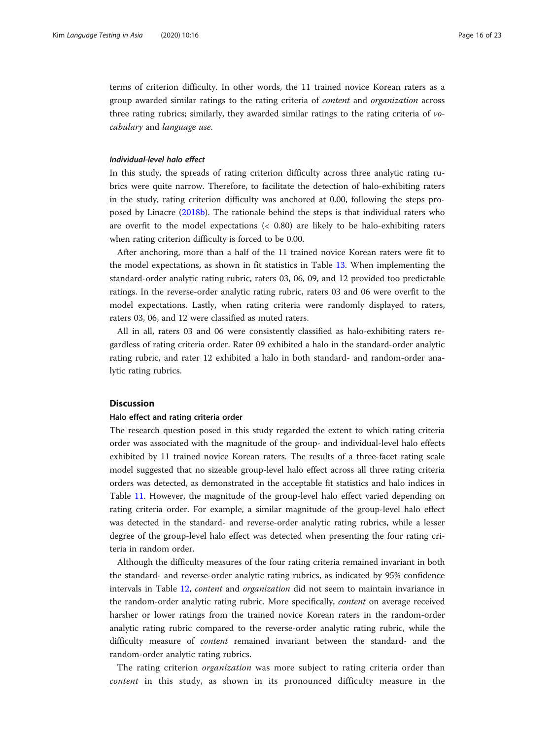terms of criterion difficulty. In other words, the 11 trained novice Korean raters as a group awarded similar ratings to the rating criteria of content and organization across three rating rubrics; similarly, they awarded similar ratings to the rating criteria of vocabulary and language use.

#### Individual-level halo effect

In this study, the spreads of rating criterion difficulty across three analytic rating rubrics were quite narrow. Therefore, to facilitate the detection of halo-exhibiting raters in the study, rating criterion difficulty was anchored at 0.00, following the steps proposed by Linacre [\(2018b\)](#page-22-0). The rationale behind the steps is that individual raters who are overfit to the model expectations (< 0.80) are likely to be halo-exhibiting raters when rating criterion difficulty is forced to be 0.00.

After anchoring, more than a half of the 11 trained novice Korean raters were fit to the model expectations, as shown in fit statistics in Table [13](#page-16-0). When implementing the standard-order analytic rating rubric, raters 03, 06, 09, and 12 provided too predictable ratings. In the reverse-order analytic rating rubric, raters 03 and 06 were overfit to the model expectations. Lastly, when rating criteria were randomly displayed to raters, raters 03, 06, and 12 were classified as muted raters.

All in all, raters 03 and 06 were consistently classified as halo-exhibiting raters regardless of rating criteria order. Rater 09 exhibited a halo in the standard-order analytic rating rubric, and rater 12 exhibited a halo in both standard- and random-order analytic rating rubrics.

# **Discussion**

#### Halo effect and rating criteria order

The research question posed in this study regarded the extent to which rating criteria order was associated with the magnitude of the group- and individual-level halo effects exhibited by 11 trained novice Korean raters. The results of a three-facet rating scale model suggested that no sizeable group-level halo effect across all three rating criteria orders was detected, as demonstrated in the acceptable fit statistics and halo indices in Table [11](#page-14-0). However, the magnitude of the group-level halo effect varied depending on rating criteria order. For example, a similar magnitude of the group-level halo effect was detected in the standard- and reverse-order analytic rating rubrics, while a lesser degree of the group-level halo effect was detected when presenting the four rating criteria in random order.

Although the difficulty measures of the four rating criteria remained invariant in both the standard- and reverse-order analytic rating rubrics, as indicated by 95% confidence intervals in Table [12](#page-14-0), *content* and *organization* did not seem to maintain invariance in the random-order analytic rating rubric. More specifically, content on average received harsher or lower ratings from the trained novice Korean raters in the random-order analytic rating rubric compared to the reverse-order analytic rating rubric, while the difficulty measure of content remained invariant between the standard- and the random-order analytic rating rubrics.

The rating criterion *organization* was more subject to rating criteria order than content in this study, as shown in its pronounced difficulty measure in the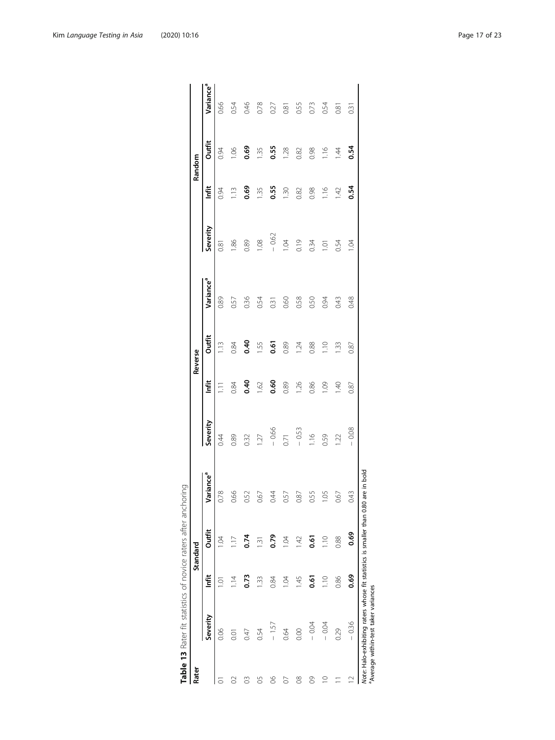<span id="page-16-0"></span>

| Variance <sup>a</sup><br>0.78<br>0.66<br>1.05<br>0.52<br>0.67<br>0.44<br>0.57<br>0.87<br>0.55<br>it<br>∂<br>0.79<br>0.74<br>6.61<br>$\frac{1}{1}$<br>1.04<br>1.04<br>$\overline{142}$<br>$\overline{31}$<br>İnfit<br>0.73<br><b>1970</b><br>$\frac{1}{1}$<br>$\frac{14}{1}$<br>133<br>0.84<br>104<br>1.45<br>$\overline{\circ}$<br>Severity<br>$-1.57$<br>$-0.04$<br>$-0.04$<br>0.64<br>0.06<br>0.54<br>0.00<br>047<br>ō<br>8<br>8<br>පි<br>S<br>४<br>6<br>8<br>$\subseteq$<br>5 |      |      | Standard |      |          |                 | <b>Reverse</b> |                       |          |       | Random |                       |
|----------------------------------------------------------------------------------------------------------------------------------------------------------------------------------------------------------------------------------------------------------------------------------------------------------------------------------------------------------------------------------------------------------------------------------------------------------------------------------|------|------|----------|------|----------|-----------------|----------------|-----------------------|----------|-------|--------|-----------------------|
|                                                                                                                                                                                                                                                                                                                                                                                                                                                                                  |      |      |          |      | Severity | İnfit           | Outfit         | Variance <sup>a</sup> | Severity | lnfit | Outfit | Variance <sup>a</sup> |
|                                                                                                                                                                                                                                                                                                                                                                                                                                                                                  |      |      |          |      | 0.44     | $\Xi$           | 1.13           | 0.89                  | 0.81     | 0.94  | 0.94   | 0.66                  |
|                                                                                                                                                                                                                                                                                                                                                                                                                                                                                  |      |      |          |      | 0.89     | 0.84            | 0.84           | 0.57                  | 1.86     | 1.13  | 1.06   | 0.54                  |
|                                                                                                                                                                                                                                                                                                                                                                                                                                                                                  |      |      |          |      | 0.32     | 0.40            | <b>0.40</b>    | 0.36                  | 0.89     | 0.69  | 0.69   | 0.46                  |
|                                                                                                                                                                                                                                                                                                                                                                                                                                                                                  |      |      |          |      | 127      | 1.62            | 1.55           | 0.54                  | 1.08     | 1.35  | 1.35   | 0.78                  |
|                                                                                                                                                                                                                                                                                                                                                                                                                                                                                  |      |      |          |      | $-0.66$  | 0.60            | 50             | 0.31                  | $-0.62$  | 0.55  | 0.55   | 0.27                  |
|                                                                                                                                                                                                                                                                                                                                                                                                                                                                                  |      |      |          |      | 0.71     | 0.89            | 0.89           | 0.60                  | 1.04     | 1.30  | 1.28   | 0.81                  |
|                                                                                                                                                                                                                                                                                                                                                                                                                                                                                  |      |      |          |      | $-0.53$  | 1.26            | 1.24           | 0.58                  | 0.19     | 0.82  | 0.82   | 0.55                  |
|                                                                                                                                                                                                                                                                                                                                                                                                                                                                                  |      |      |          |      | 1.16     | 0.86            | 0.88           | 0.50                  | 0.34     | 0.98  | 0.98   | 0.73                  |
|                                                                                                                                                                                                                                                                                                                                                                                                                                                                                  |      |      |          |      | 0.59     | 0.09            | 1.10           | 0.94                  | 1.01     | 1.16  | 1.16   | 0.54                  |
|                                                                                                                                                                                                                                                                                                                                                                                                                                                                                  | 0.29 | 0.86 | 0.88     | 0.67 | 1.22     | $\overline{40}$ | 1.33           | 0.43                  | 0.54     | 142   | 1.44   | 0.81                  |
| 0.43<br>0.69<br>0.69<br>$-0.36$<br>$\overline{C}$                                                                                                                                                                                                                                                                                                                                                                                                                                |      |      |          |      | $-0.08$  | 0.87            | 0.87           | 0.48                  | 1.04     | 0.54  | 0.54   | $\overline{0.3}$      |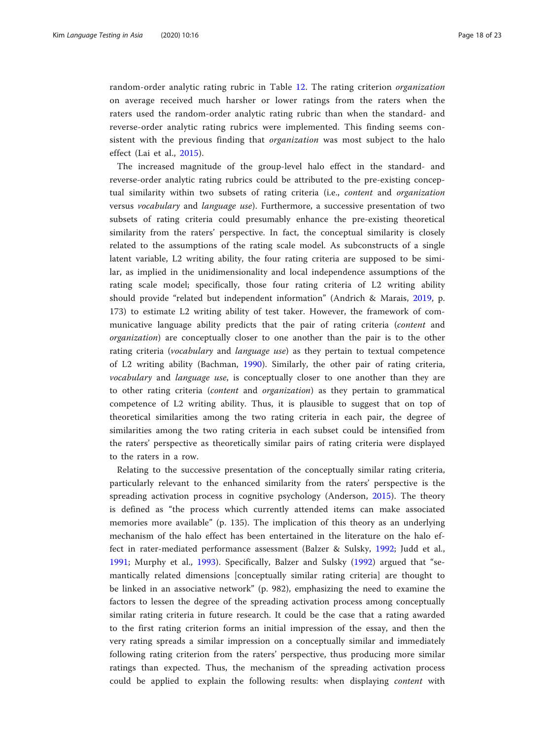random-order analytic rating rubric in Table [12.](#page-14-0) The rating criterion organization on average received much harsher or lower ratings from the raters when the raters used the random-order analytic rating rubric than when the standard- and reverse-order analytic rating rubrics were implemented. This finding seems consistent with the previous finding that *organization* was most subject to the halo effect (Lai et al., [2015](#page-22-0)).

The increased magnitude of the group-level halo effect in the standard- and reverse-order analytic rating rubrics could be attributed to the pre-existing conceptual similarity within two subsets of rating criteria (i.e., content and organization versus vocabulary and language use). Furthermore, a successive presentation of two subsets of rating criteria could presumably enhance the pre-existing theoretical similarity from the raters' perspective. In fact, the conceptual similarity is closely related to the assumptions of the rating scale model. As subconstructs of a single latent variable, L2 writing ability, the four rating criteria are supposed to be similar, as implied in the unidimensionality and local independence assumptions of the rating scale model; specifically, those four rating criteria of L2 writing ability should provide "related but independent information" (Andrich & Marais, [2019](#page-21-0), p. 173) to estimate L2 writing ability of test taker. However, the framework of communicative language ability predicts that the pair of rating criteria (content and organization) are conceptually closer to one another than the pair is to the other rating criteria (vocabulary and language use) as they pertain to textual competence of L2 writing ability (Bachman, [1990](#page-21-0)). Similarly, the other pair of rating criteria, vocabulary and language use, is conceptually closer to one another than they are to other rating criteria (content and organization) as they pertain to grammatical competence of L2 writing ability. Thus, it is plausible to suggest that on top of theoretical similarities among the two rating criteria in each pair, the degree of similarities among the two rating criteria in each subset could be intensified from the raters' perspective as theoretically similar pairs of rating criteria were displayed to the raters in a row.

Relating to the successive presentation of the conceptually similar rating criteria, particularly relevant to the enhanced similarity from the raters' perspective is the spreading activation process in cognitive psychology (Anderson, [2015\)](#page-21-0). The theory is defined as "the process which currently attended items can make associated memories more available" (p. 135). The implication of this theory as an underlying mechanism of the halo effect has been entertained in the literature on the halo effect in rater-mediated performance assessment (Balzer & Sulsky, [1992](#page-21-0); Judd et al., [1991;](#page-22-0) Murphy et al., [1993\)](#page-22-0). Specifically, Balzer and Sulsky ([1992\)](#page-21-0) argued that "semantically related dimensions [conceptually similar rating criteria] are thought to be linked in an associative network" (p. 982), emphasizing the need to examine the factors to lessen the degree of the spreading activation process among conceptually similar rating criteria in future research. It could be the case that a rating awarded to the first rating criterion forms an initial impression of the essay, and then the very rating spreads a similar impression on a conceptually similar and immediately following rating criterion from the raters' perspective, thus producing more similar ratings than expected. Thus, the mechanism of the spreading activation process could be applied to explain the following results: when displaying content with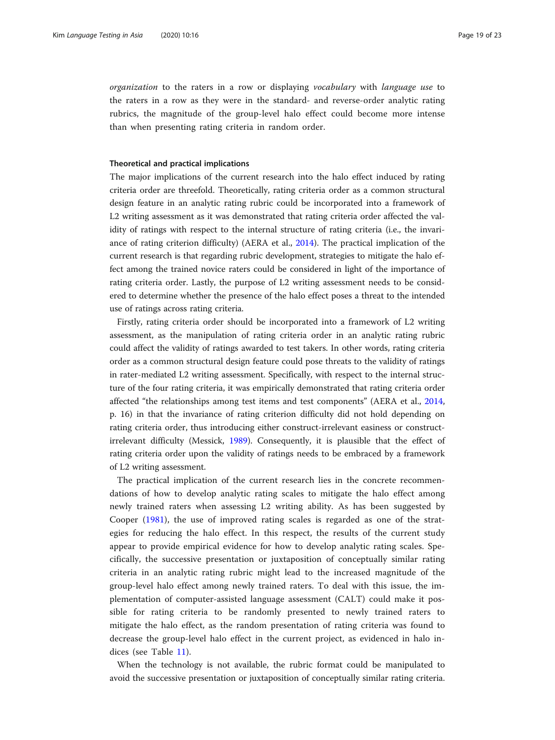organization to the raters in a row or displaying vocabulary with language use to the raters in a row as they were in the standard- and reverse-order analytic rating rubrics, the magnitude of the group-level halo effect could become more intense than when presenting rating criteria in random order.

# Theoretical and practical implications

The major implications of the current research into the halo effect induced by rating criteria order are threefold. Theoretically, rating criteria order as a common structural design feature in an analytic rating rubric could be incorporated into a framework of L2 writing assessment as it was demonstrated that rating criteria order affected the validity of ratings with respect to the internal structure of rating criteria (i.e., the invariance of rating criterion difficulty) (AERA et al., [2014\)](#page-21-0). The practical implication of the current research is that regarding rubric development, strategies to mitigate the halo effect among the trained novice raters could be considered in light of the importance of rating criteria order. Lastly, the purpose of L2 writing assessment needs to be considered to determine whether the presence of the halo effect poses a threat to the intended use of ratings across rating criteria.

Firstly, rating criteria order should be incorporated into a framework of L2 writing assessment, as the manipulation of rating criteria order in an analytic rating rubric could affect the validity of ratings awarded to test takers. In other words, rating criteria order as a common structural design feature could pose threats to the validity of ratings in rater-mediated L2 writing assessment. Specifically, with respect to the internal structure of the four rating criteria, it was empirically demonstrated that rating criteria order affected "the relationships among test items and test components" (AERA et al., [2014](#page-21-0), p. 16) in that the invariance of rating criterion difficulty did not hold depending on rating criteria order, thus introducing either construct-irrelevant easiness or constructirrelevant difficulty (Messick, [1989\)](#page-22-0). Consequently, it is plausible that the effect of rating criteria order upon the validity of ratings needs to be embraced by a framework of L2 writing assessment.

The practical implication of the current research lies in the concrete recommendations of how to develop analytic rating scales to mitigate the halo effect among newly trained raters when assessing L2 writing ability. As has been suggested by Cooper [\(1981](#page-21-0)), the use of improved rating scales is regarded as one of the strategies for reducing the halo effect. In this respect, the results of the current study appear to provide empirical evidence for how to develop analytic rating scales. Specifically, the successive presentation or juxtaposition of conceptually similar rating criteria in an analytic rating rubric might lead to the increased magnitude of the group-level halo effect among newly trained raters. To deal with this issue, the implementation of computer-assisted language assessment (CALT) could make it possible for rating criteria to be randomly presented to newly trained raters to mitigate the halo effect, as the random presentation of rating criteria was found to decrease the group-level halo effect in the current project, as evidenced in halo indices (see Table [11\)](#page-14-0).

When the technology is not available, the rubric format could be manipulated to avoid the successive presentation or juxtaposition of conceptually similar rating criteria.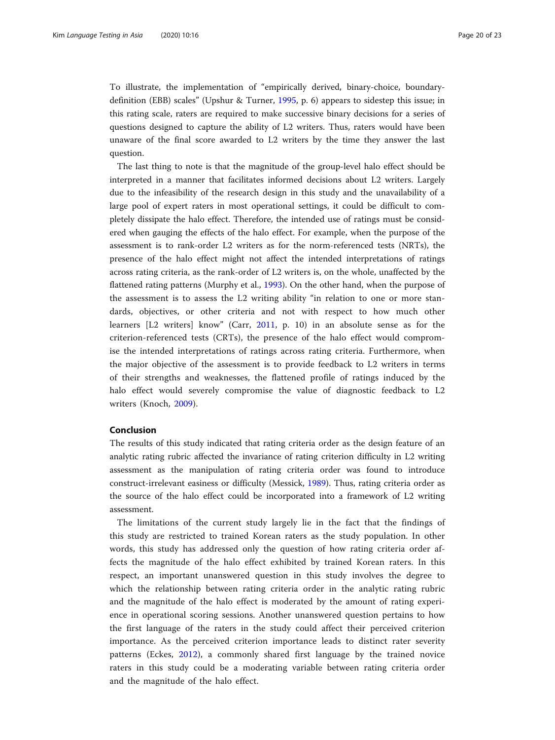To illustrate, the implementation of "empirically derived, binary-choice, boundarydefinition (EBB) scales" (Upshur & Turner, [1995,](#page-22-0) p. 6) appears to sidestep this issue; in this rating scale, raters are required to make successive binary decisions for a series of questions designed to capture the ability of L2 writers. Thus, raters would have been unaware of the final score awarded to L2 writers by the time they answer the last question.

The last thing to note is that the magnitude of the group-level halo effect should be interpreted in a manner that facilitates informed decisions about L2 writers. Largely due to the infeasibility of the research design in this study and the unavailability of a large pool of expert raters in most operational settings, it could be difficult to completely dissipate the halo effect. Therefore, the intended use of ratings must be considered when gauging the effects of the halo effect. For example, when the purpose of the assessment is to rank-order L2 writers as for the norm-referenced tests (NRTs), the presence of the halo effect might not affect the intended interpretations of ratings across rating criteria, as the rank-order of L2 writers is, on the whole, unaffected by the flattened rating patterns (Murphy et al., [1993\)](#page-22-0). On the other hand, when the purpose of the assessment is to assess the L2 writing ability "in relation to one or more standards, objectives, or other criteria and not with respect to how much other learners [L2 writers] know" (Carr, [2011](#page-21-0), p. 10) in an absolute sense as for the criterion-referenced tests (CRTs), the presence of the halo effect would compromise the intended interpretations of ratings across rating criteria. Furthermore, when the major objective of the assessment is to provide feedback to L2 writers in terms of their strengths and weaknesses, the flattened profile of ratings induced by the halo effect would severely compromise the value of diagnostic feedback to L2 writers (Knoch, [2009\)](#page-22-0).

## Conclusion

The results of this study indicated that rating criteria order as the design feature of an analytic rating rubric affected the invariance of rating criterion difficulty in L2 writing assessment as the manipulation of rating criteria order was found to introduce construct-irrelevant easiness or difficulty (Messick, [1989\)](#page-22-0). Thus, rating criteria order as the source of the halo effect could be incorporated into a framework of L2 writing assessment.

The limitations of the current study largely lie in the fact that the findings of this study are restricted to trained Korean raters as the study population. In other words, this study has addressed only the question of how rating criteria order affects the magnitude of the halo effect exhibited by trained Korean raters. In this respect, an important unanswered question in this study involves the degree to which the relationship between rating criteria order in the analytic rating rubric and the magnitude of the halo effect is moderated by the amount of rating experience in operational scoring sessions. Another unanswered question pertains to how the first language of the raters in the study could affect their perceived criterion importance. As the perceived criterion importance leads to distinct rater severity patterns (Eckes, [2012](#page-21-0)), a commonly shared first language by the trained novice raters in this study could be a moderating variable between rating criteria order and the magnitude of the halo effect.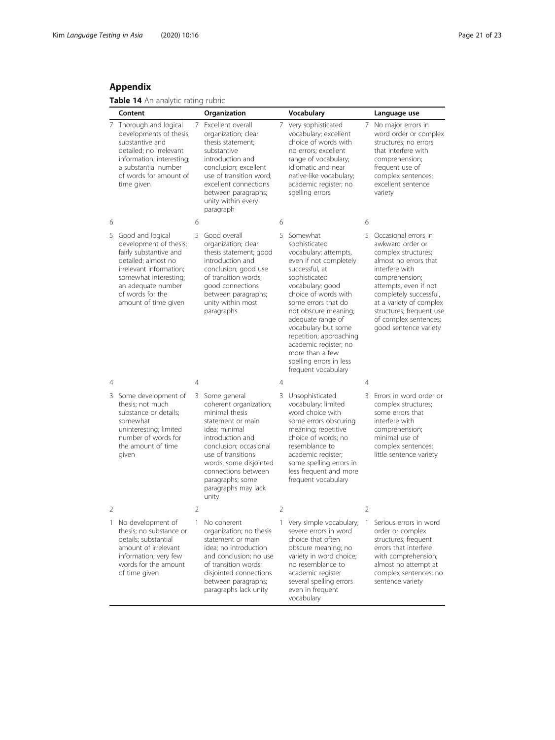# <span id="page-20-0"></span>Appendix

Table 14 An analytic rating rubric

|   | Content                                                                                                                                                                                                             |                | Organization                                                                                                                                                                                                                                                              |   | Vocabulary                                                                                                                                                                                                                                                                                                                                                                      |                | Language use                                                                                                                                                                                                                                                                               |
|---|---------------------------------------------------------------------------------------------------------------------------------------------------------------------------------------------------------------------|----------------|---------------------------------------------------------------------------------------------------------------------------------------------------------------------------------------------------------------------------------------------------------------------------|---|---------------------------------------------------------------------------------------------------------------------------------------------------------------------------------------------------------------------------------------------------------------------------------------------------------------------------------------------------------------------------------|----------------|--------------------------------------------------------------------------------------------------------------------------------------------------------------------------------------------------------------------------------------------------------------------------------------------|
|   | 7 Thorough and logical<br>developments of thesis;<br>substantive and<br>detailed; no irrelevant<br>information; interesting;<br>a substantial number<br>of words for amount of<br>time given                        | $\overline{7}$ | Excellent overall<br>organization; clear<br>thesis statement;<br>substantive<br>introduction and<br>conclusion; excellent<br>use of transition word;<br>excellent connections<br>between paragraphs;<br>unity within every<br>paragraph                                   |   | 7 Very sophisticated<br>vocabulary; excellent<br>choice of words with<br>no errors; excellent<br>range of vocabulary;<br>idiomatic and near<br>native-like vocabulary;<br>academic register; no<br>spelling errors                                                                                                                                                              | 7              | No major errors in<br>word order or complex<br>structures; no errors<br>that interfere with<br>comprehension;<br>frequent use of<br>complex sentences;<br>excellent sentence<br>variety                                                                                                    |
| 6 |                                                                                                                                                                                                                     | 6              |                                                                                                                                                                                                                                                                           | 6 |                                                                                                                                                                                                                                                                                                                                                                                 | 6              |                                                                                                                                                                                                                                                                                            |
|   | 5 Good and logical<br>development of thesis;<br>fairly substantive and<br>detailed; almost no<br>irrelevant information;<br>somewhat interesting;<br>an adequate number<br>of words for the<br>amount of time given | 5              | Good overall<br>organization; clear<br>thesis statement; good<br>introduction and<br>conclusion; good use<br>of transition words;<br>good connections<br>between paragraphs;<br>unity within most<br>paragraphs                                                           | 5 | Somewhat<br>sophisticated<br>vocabulary; attempts,<br>even if not completely<br>successful, at<br>sophisticated<br>vocabulary; good<br>choice of words with<br>some errors that do<br>not obscure meaning;<br>adequate range of<br>vocabulary but some<br>repetition; approaching<br>academic register; no<br>more than a few<br>spelling errors in less<br>frequent vocabulary |                | 5 Occasional errors in<br>awkward order or<br>complex structures;<br>almost no errors that<br>interfere with<br>comprehension;<br>attempts, even if not<br>completely successful,<br>at a variety of complex<br>structures; frequent use<br>of complex sentences;<br>good sentence variety |
| 4 |                                                                                                                                                                                                                     | $\overline{4}$ |                                                                                                                                                                                                                                                                           | 4 |                                                                                                                                                                                                                                                                                                                                                                                 | $\overline{4}$ |                                                                                                                                                                                                                                                                                            |
|   | 3 Some development of<br>thesis; not much<br>substance or details;<br>somewhat<br>uninteresting; limited<br>number of words for<br>the amount of time<br>given                                                      |                | 3 Some general<br>coherent organization;<br>minimal thesis<br>statement or main<br>idea; minimal<br>introduction and<br>conclusion; occasional<br>use of transitions<br>words; some disjointed<br>connections between<br>paragraphs; some<br>paragraphs may lack<br>unity |   | 3 Unsophisticated<br>vocabulary; limited<br>word choice with<br>some errors obscuring<br>meaning; repetitive<br>choice of words; no<br>resemblance to<br>academic register;<br>some spelling errors in<br>less frequent and more<br>frequent vocabulary                                                                                                                         |                | 3 Errors in word order or<br>complex structures;<br>some errors that<br>interfere with<br>comprehension;<br>minimal use of<br>complex sentences;<br>little sentence variety                                                                                                                |
| 2 |                                                                                                                                                                                                                     | 2              |                                                                                                                                                                                                                                                                           | 2 |                                                                                                                                                                                                                                                                                                                                                                                 | $\overline{2}$ |                                                                                                                                                                                                                                                                                            |
|   | No development of<br>thesis; no substance or<br>details; substantial<br>amount of irrelevant<br>information; very few<br>words for the amount<br>of time given                                                      |                | 1 No coherent<br>organization; no thesis<br>statement or main<br>idea; no introduction<br>and conclusion; no use<br>of transition words;<br>disjointed connections<br>between paragraphs;<br>paragraphs lack unity                                                        |   | 1 Very simple vocabulary; 1 Serious errors in word<br>severe errors in word<br>choice that often<br>obscure meaning; no<br>variety in word choice;<br>no resemblance to<br>academic register<br>several spelling errors<br>even in frequent<br>vocabulary                                                                                                                       |                | order or complex<br>structures; frequent<br>errors that interfere<br>with comprehension;<br>almost no attempt at<br>complex sentences; no<br>sentence variety                                                                                                                              |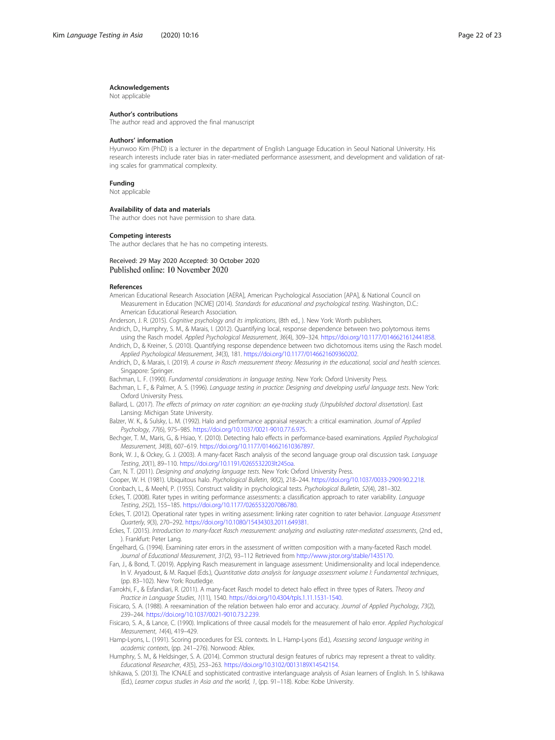#### <span id="page-21-0"></span>Acknowledgements

Not applicable

#### Author's contributions

The author read and approved the final manuscript

#### Authors' information

Hyunwoo Kim (PhD) is a lecturer in the department of English Language Education in Seoul National University. His research interests include rater bias in rater-mediated performance assessment, and development and validation of rating scales for grammatical complexity.

#### Funding

Not applicable

Availability of data and materials

The author does not have permission to share data.

#### Competing interests

The author declares that he has no competing interests.

#### Received: 29 May 2020 Accepted: 30 October 2020 Published online: 10 November 2020

#### References

American Educational Research Association [AERA], American Psychological Association [APA], & National Council on Measurement in Education [NCME] (2014). Standards for educational and psychological testing. Washington, D.C.: American Educational Research Association.

Anderson, J. R. (2015). Cognitive psychology and its implications, (8th ed., ). New York: Worth publishers.

- Andrich, D., Humphry, S. M., & Marais, I. (2012). Quantifying local, response dependence between two polytomous items using the Rasch model. Applied Psychological Measurement, 36(4), 309–324. <https://doi.org/10.1177/0146621612441858>.
- Andrich, D., & Kreiner, S. (2010). Quantifying response dependence between two dichotomous items using the Rasch model. Applied Psychological Measurement, 34(3), 181. [https://doi.org/10.1177/0146621609360202.](https://doi.org/10.1177/0146621609360202)
- Andrich, D., & Marais, I. (2019). A course in Rasch measurement theory: Measuring in the educational, social and health sciences. Singapore: Springer
- Bachman, L. F. (1990). Fundamental considerations in language testing. New York: Oxford University Press.
- Bachman, L. F., & Palmer, A. S. (1996). Language testing in practice: Designing and developing useful language tests. New York: Oxford University Press.
- Ballard, L. (2017). The effects of primacy on rater cognition: an eye-tracking study (Unpublished doctoral dissertation). East Lansing: Michigan State University.
- Balzer, W. K., & Sulsky, L. M. (1992). Halo and performance appraisal research: a critical examination. Journal of Applied Psychology, 77(6), 975–985. [https://doi.org/10.1037/0021-9010.77.6.975.](https://doi.org/10.1037/0021-9010.77.6.975)

Bechger, T. M., Maris, G., & Hsiao, Y. (2010). Detecting halo effects in performance-based examinations. Applied Psychological Measurement, 34(8), 607–619. <https://doi.org/10.1177/0146621610367897>.

Bonk, W. J., & Ockey, G. J. (2003). A many-facet Rasch analysis of the second language group oral discussion task. Language Testing, 20(1), 89–110. <https://doi.org/10.1191/0265532203lt245oa>.

Carr, N. T. (2011). Designing and analyzing language tests. New York: Oxford University Press.

Cooper, W. H. (1981). Ubiquitous halo. Psychological Bulletin, 90(2), 218–244. <https://doi.org/10.1037/0033-2909.90.2.218>.

Cronbach, L., & Meehl, P. (1955). Construct validity in psychological tests. Psychological Bulletin, 52(4), 281–302.

Eckes, T. (2008). Rater types in writing performance assessments: a classification approach to rater variability. Language Testing, 25(2), 155–185. <https://doi.org/10.1177/0265532207086780>.

- Eckes, T. (2012). Operational rater types in writing assessment: linking rater cognition to rater behavior. Language Assessment Quarterly, 9(3), 270–292. [https://doi.org/10.1080/15434303.2011.649381.](https://doi.org/10.1080/15434303.2011.649381)
- Eckes, T. (2015). Introduction to many-facet Rasch measurement: analyzing and evaluating rater-mediated assessments, (2nd ed., ). Frankfurt: Peter Lang.
- Engelhard, G. (1994). Examining rater errors in the assessment of written composition with a many-faceted Rasch model. Journal of Educational Measurement, 31(2), 93–112 Retrieved from <http://www.jstor.org/stable/1435170>.
- Fan, J., & Bond, T. (2019). Applying Rasch measurement in language assessment: Unidimensionality and local independence. In V. Aryadoust, & M. Raquel (Eds.), Quantitative data analysis for language assessment volume I: Fundamental techniques, (pp. 83–102). New York: Routledge.

Farrokhi, F., & Esfandiari, R. (2011). A many-facet Rasch model to detect halo effect in three types of Raters. Theory and Practice in Language Studies, 1(11), 1540. [https://doi.org/10.4304/tpls.1.11.1531-1540.](https://doi.org/10.4304/tpls.1.11.1531-1540)

Fisicaro, S. A. (1988). A reexamination of the relation between halo error and accuracy. Journal of Applied Psychology, 73(2), 239–244. [https://doi.org/10.1037/0021-9010.73.2.239.](https://doi.org/10.1037/0021-9010.73.2.239)

Fisicaro, S. A., & Lance, C. (1990). Implications of three causal models for the measurement of halo error. Applied Psychological Measurement, 14(4), 419–429.

Hamp-Lyons, L. (1991). Scoring procedures for ESL contexts. In L. Hamp-Lyons (Ed.), Assessing second language writing in academic contexts, (pp. 241–276). Norwood: Ablex.

- Humphry, S. M., & Heldsinger, S. A. (2014). Common structural design features of rubrics may represent a threat to validity. Educational Researcher, 43(5), 253–263. [https://doi.org/10.3102/0013189X14542154.](https://doi.org/10.3102/0013189X14542154)
- Ishikawa, S. (2013). The ICNALE and sophisticated contrastive interlanguage analysis of Asian learners of English. In S. Ishikawa (Ed.), Learner corpus studies in Asia and the world, 1, (pp. 91–118). Kobe: Kobe University.